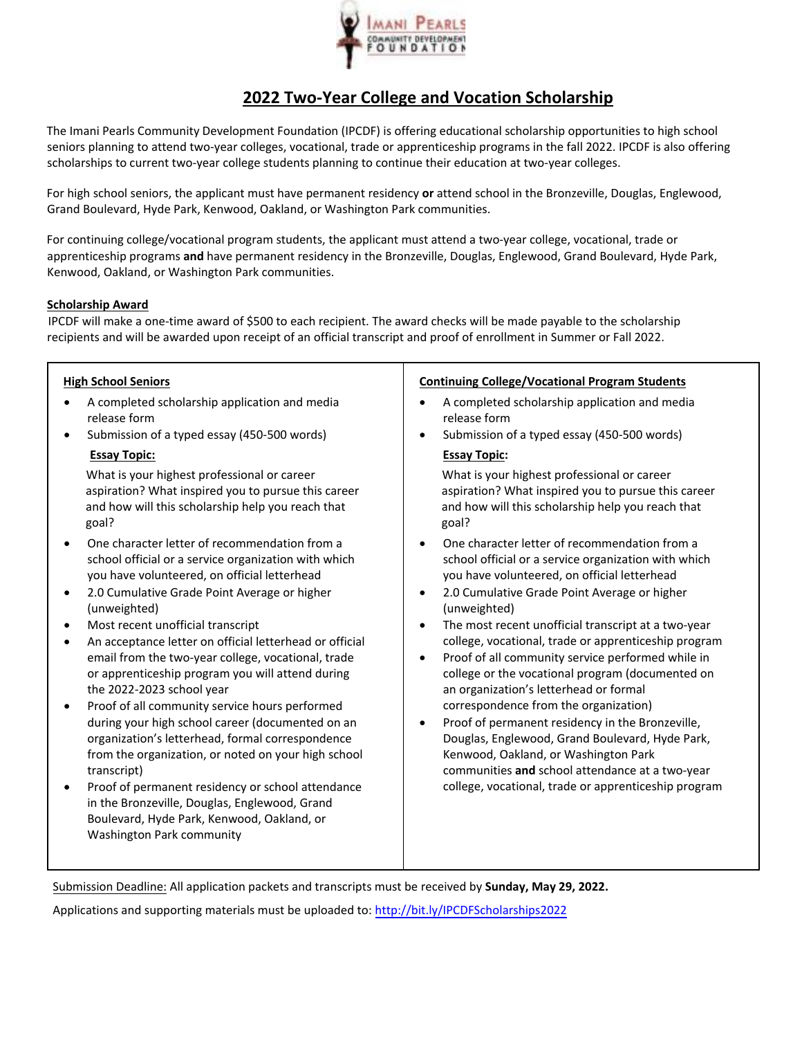

## **2022 Two‐Year College and Vocation Scholarship**

The Imani Pearls Community Development Foundation (IPCDF) is offering educational scholarship opportunities to high school seniors planning to attend two-year colleges, vocational, trade or apprenticeship programs in the fall 2022. IPCDF is also offering scholarships to current two-year college students planning to continue their education at two-year colleges.

For high school seniors, the applicant must have permanent residency **or** attend school in the Bronzeville, Douglas, Englewood, Grand Boulevard, Hyde Park, Kenwood, Oakland, or Washington Park communities.

For continuing college/vocational program students, the applicant must attend a two-year college, vocational, trade or apprenticeship programs **and** have permanent residency in the Bronzeville, Douglas, Englewood, Grand Boulevard, Hyde Park, Kenwood, Oakland, or Washington Park communities.

#### **Scholarship Award**

IPCDF will make a one‐time award of \$500 to each recipient. The award checks will be made payable to the scholarship recipients and will be awarded upon receipt of an official transcript and proof of enrollment in Summer or Fall 2022.

### **High School Seniors**

- A completed scholarship application and media release form
- Submission of a typed essay (450-500 words)

#### **Essay Topic:**

What is your highest professional or career aspiration? What inspired you to pursue this career and how will this scholarship help you reach that goal?

- One character letter of recommendation from a school official or a service organization with which you have volunteered, on official letterhead
- 2.0 Cumulative Grade Point Average or higher (unweighted)
- Most recent unofficial transcript
- An acceptance letter on official letterhead or official email from the two-year college, vocational, trade or apprenticeship program you will attend during the 2022-2023 school year
- Proof of all community service hours performed during your high school career (documented on an organization's letterhead, formal correspondence from the organization, or noted on your high school transcript)
- Proof of permanent residency or school attendance in the Bronzeville, Douglas, Englewood, Grand Boulevard, Hyde Park, Kenwood, Oakland, or Washington Park community

#### **Continuing College/Vocational Program Students**

- A completed scholarship application and media release form
- Submission of a typed essay (450-500 words) **Essay Topic:**

What is your highest professional or career aspiration? What inspired you to pursue this career and how will this scholarship help you reach that goal?

- One character letter of recommendation from a school official or a service organization with which you have volunteered, on official letterhead
- 2.0 Cumulative Grade Point Average or higher (unweighted)
- The most recent unofficial transcript at a two‐year college, vocational, trade or apprenticeship program
- Proof of all community service performed while in college or the vocational program (documented on an organization's letterhead or formal correspondence from the organization)
- Proof of permanent residency in the Bronzeville, Douglas, Englewood, Grand Boulevard, Hyde Park, Kenwood, Oakland, or Washington Park communities **and** school attendance at a two‐year college, vocational, trade or apprenticeship program

Submission Deadline: All application packets and transcripts must be received by **Sunday, May 29, 2022.** 

Applications and supporting materials must be uploaded to: http://bit.ly/IPCDFScholarships2022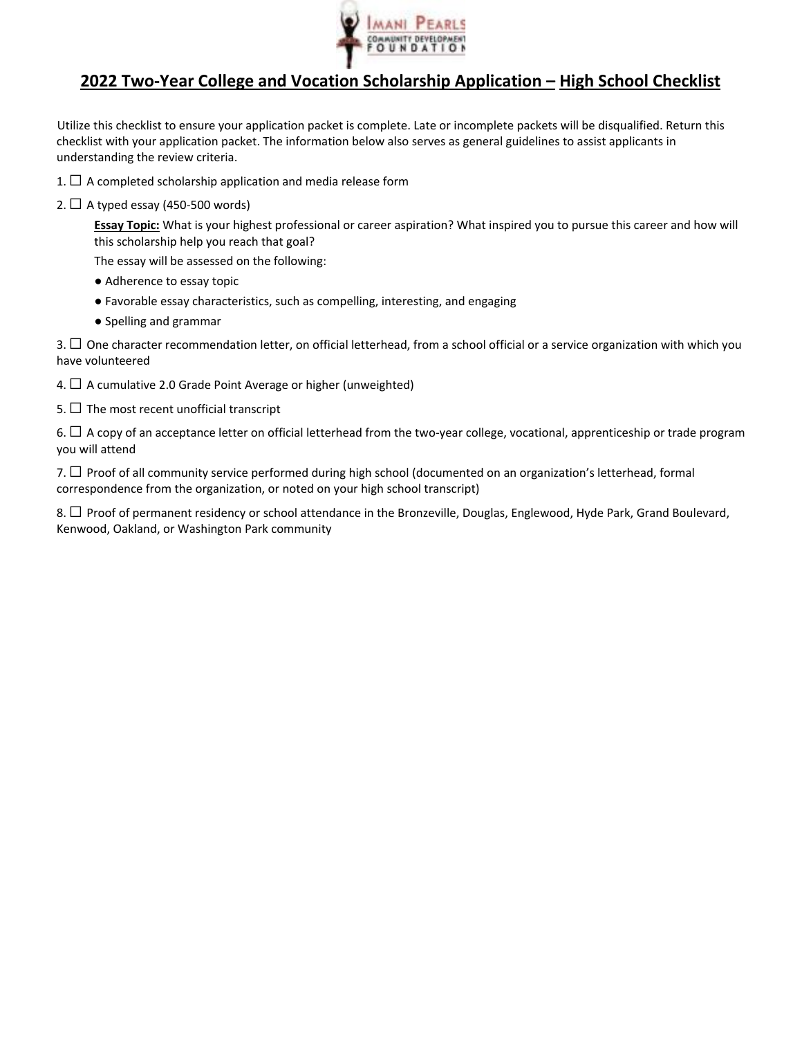

## **2022 Two‐Year College and Vocation Scholarship Application – High School Checklist**

Utilize this checklist to ensure your application packet is complete. Late or incomplete packets will be disqualified. Return this checklist with your application packet. The information below also serves as general guidelines to assist applicants in understanding the review criteria.

- 1.  $\Box$  A completed scholarship application and media release form
- 2.  $\Box$  A typed essay (450-500 words)

**Essay Topic:** What is your highest professional or career aspiration? What inspired you to pursue this career and how will this scholarship help you reach that goal?

The essay will be assessed on the following:

- Adherence to essay topic
- Favorable essay characteristics, such as compelling, interesting, and engaging
- Spelling and grammar

 $3.$   $\Box$  One character recommendation letter, on official letterhead, from a school official or a service organization with which you have volunteered

- 4.  $\Box$  A cumulative 2.0 Grade Point Average or higher (unweighted)
- 5.  $\Box$  The most recent unofficial transcript

6. □ A copy of an acceptance letter on official letterhead from the two-year college, vocational, apprenticeship or trade program you will attend

7. □ Proof of all community service performed during high school (documented on an organization's letterhead, formal correspondence from the organization, or noted on your high school transcript)

8. □ Proof of permanent residency or school attendance in the Bronzeville, Douglas, Englewood, Hyde Park, Grand Boulevard, Kenwood, Oakland, or Washington Park community